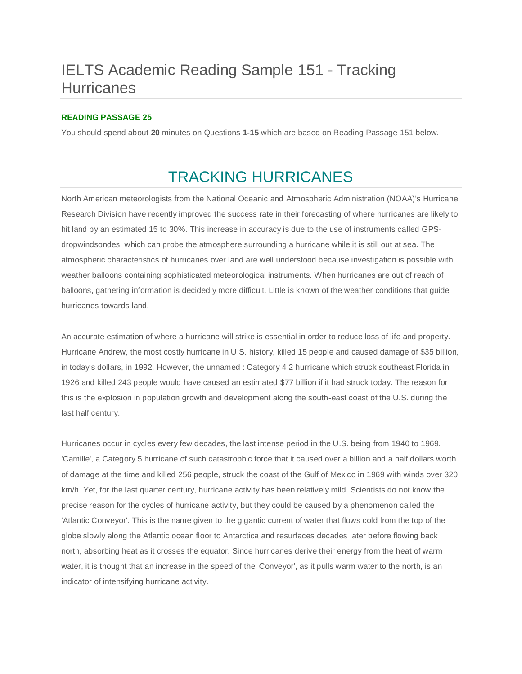# IELTS Academic Reading Sample 151 - Tracking **Hurricanes**

### **READING PASSAGE 25**

You should spend about **20** minutes on Questions **1-15** which are based on Reading Passage 151 below.

# TRACKING HURRICANES

North American meteorologists from the National Oceanic and Atmospheric Administration (NOAA)'s Hurricane Research Division have recently improved the success rate in their forecasting of where hurricanes are likely to hit land by an estimated 15 to 30%. This increase in accuracy is due to the use of instruments called GPSdropwindsondes, which can probe the atmosphere surrounding a hurricane while it is still out at sea. The atmospheric characteristics of hurricanes over land are well understood because investigation is possible with weather balloons containing sophisticated meteorological instruments. When hurricanes are out of reach of balloons, gathering information is decidedly more difficult. Little is known of the weather conditions that guide hurricanes towards land.

An accurate estimation of where a hurricane will strike is essential in order to reduce loss of life and property. Hurricane Andrew, the most costly hurricane in U.S. history, killed 15 people and caused damage of \$35 billion, in today's dollars, in 1992. However, the unnamed : Category 4 2 hurricane which struck southeast Florida in 1926 and killed 243 people would have caused an estimated \$77 billion if it had struck today. The reason for this is the explosion in population growth and development along the south-east coast of the U.S. during the last half century.

Hurricanes occur in cycles every few decades, the last intense period in the U.S. being from 1940 to 1969. 'Camille', a Category 5 hurricane of such catastrophic force that it caused over a billion and a half dollars worth of damage at the time and killed 256 people, struck the coast of the Gulf of Mexico in 1969 with winds over 320 km/h. Yet, for the last quarter century, hurricane activity has been relatively mild. Scientists do not know the precise reason for the cycles of hurricane activity, but they could be caused by a phenomenon called the 'Atlantic Conveyor'. This is the name given to the gigantic current of water that flows cold from the top of the globe slowly along the Atlantic ocean floor to Antarctica and resurfaces decades later before flowing back north, absorbing heat as it crosses the equator. Since hurricanes derive their energy from the heat of warm water, it is thought that an increase in the speed of the' Conveyor', as it pulls warm water to the north, is an indicator of intensifying hurricane activity.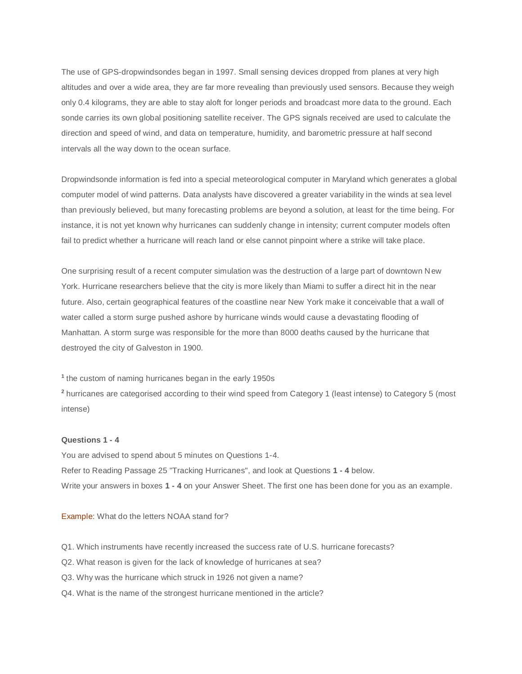The use of GPS-dropwindsondes began in 1997. Small sensing devices dropped from planes at very high altitudes and over a wide area, they are far more revealing than previously used sensors. Because they weigh only 0.4 kilograms, they are able to stay aloft for longer periods and broadcast more data to the ground. Each sonde carries its own global positioning satellite receiver. The GPS signals received are used to calculate the direction and speed of wind, and data on temperature, humidity, and barometric pressure at half second intervals all the way down to the ocean surface.

Dropwindsonde information is fed into a special meteorological computer in Maryland which generates a global computer model of wind patterns. Data analysts have discovered a greater variability in the winds at sea level than previously believed, but many forecasting problems are beyond a solution, at least for the time being. For instance, it is not yet known why hurricanes can suddenly change in intensity; current computer models often fail to predict whether a hurricane will reach land or else cannot pinpoint where a strike will take place.

One surprising result of a recent computer simulation was the destruction of a large part of downtown New York. Hurricane researchers believe that the city is more likely than Miami to suffer a direct hit in the near future. Also, certain geographical features of the coastline near New York make it conceivable that a wall of water called a storm surge pushed ashore by hurricane winds would cause a devastating flooding of Manhattan. A storm surge was responsible for the more than 8000 deaths caused by the hurricane that destroyed the city of Galveston in 1900.

**1** the custom of naming hurricanes began in the early 1950s

**<sup>2</sup>** hurricanes are categorised according to their wind speed from Category 1 (least intense) to Category 5 (most intense)

#### **Questions 1 - 4**

You are advised to spend about 5 minutes on Questions 1-4. Refer to Reading Passage 25 "Tracking Hurricanes", and look at Questions **1 - 4** below. Write your answers in boxes **1 - 4** on your Answer Sheet. The first one has been done for you as an example.

Example: What do the letters NOAA stand for?

- Q1. Which instruments have recently increased the success rate of U.S. hurricane forecasts?
- Q2. What reason is given for the lack of knowledge of hurricanes at sea?
- Q3. Why was the hurricane which struck in 1926 not given a name?
- Q4. What is the name of the strongest hurricane mentioned in the article?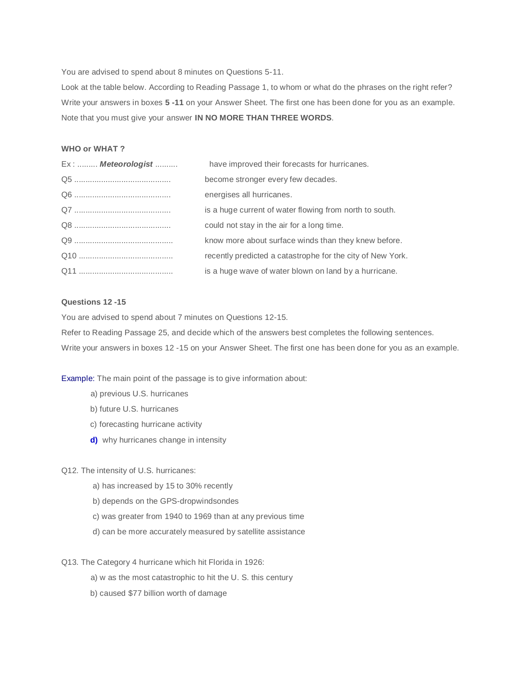You are advised to spend about 8 minutes on Questions 5-11.

Look at the table below. According to Reading Passage 1, to whom or what do the phrases on the right refer? Write your answers in boxes **5 -11** on your Answer Sheet. The first one has been done for you as an example. Note that you must give your answer **IN NO MORE THAN THREE WORDS**.

#### **WHO or WHAT ?**

| Ex:  Meteorologist | have improved their forecasts for hurricanes.              |
|--------------------|------------------------------------------------------------|
|                    | become stronger every few decades.                         |
|                    | energises all hurricanes.                                  |
|                    | is a huge current of water flowing from north to south.    |
|                    | could not stay in the air for a long time.                 |
|                    | know more about surface winds than they knew before.       |
|                    | recently predicted a catastrophe for the city of New York. |
|                    | is a huge wave of water blown on land by a hurricane.      |

### **Questions 12 -15**

You are advised to spend about 7 minutes on Questions 12-15.

Refer to Reading Passage 25, and decide which of the answers best completes the following sentences. Write your answers in boxes 12 -15 on your Answer Sheet. The first one has been done for you as an example.

Example: The main point of the passage is to give information about:

- a) previous U.S. hurricanes
- b) future U.S. hurricanes
- c) forecasting hurricane activity
- **d)** why hurricanes change in intensity

### Q12. The intensity of U.S. hurricanes:

- a) has increased by 15 to 30% recently
- b) depends on the GPS-dropwindsondes
- c) was greater from 1940 to 1969 than at any previous time
- d) can be more accurately measured by satellite assistance

Q13. The Category 4 hurricane which hit Florida in 1926:

- a) w as the most catastrophic to hit the U. S. this century
- b) caused \$77 billion worth of damage